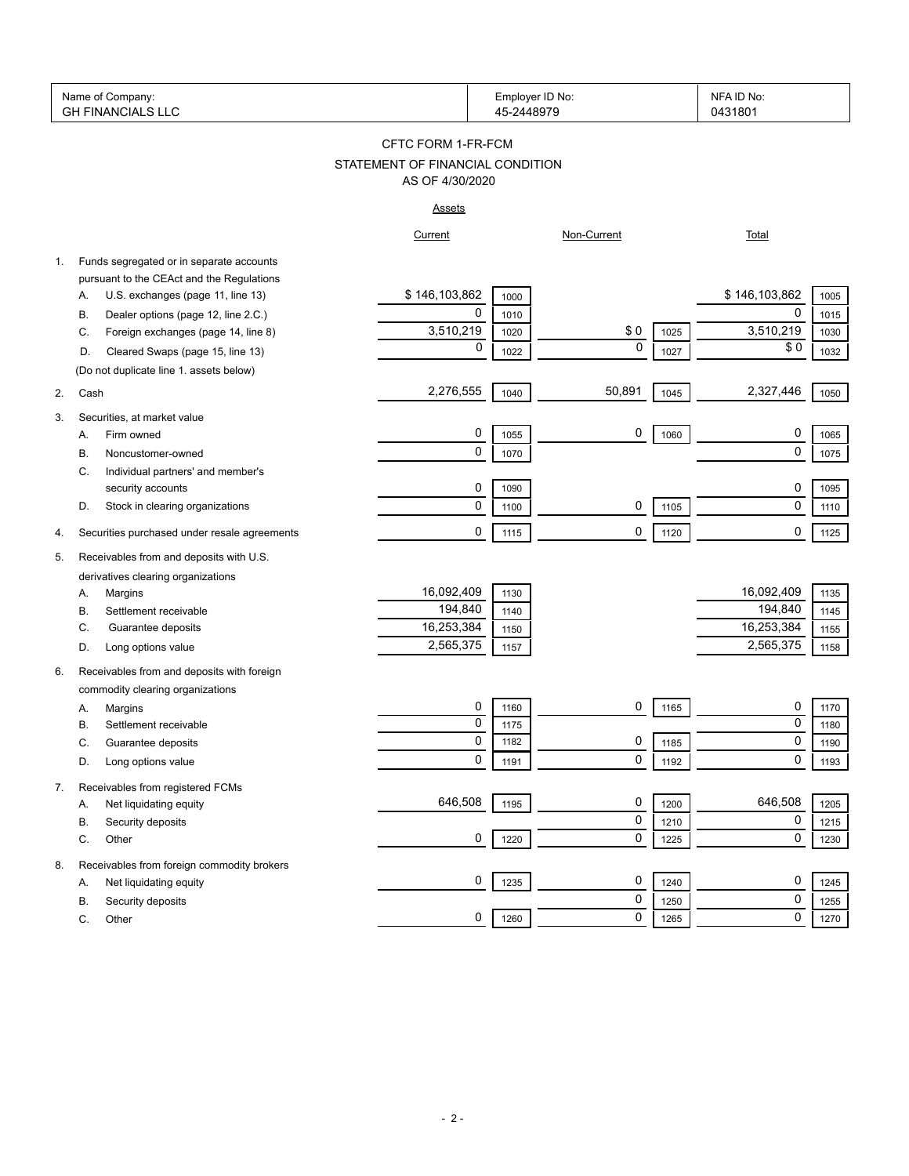| Name<br>Company.<br>O1         | ID No:<br>∟mployer | <b>NFA</b><br>:ID No ا |
|--------------------------------|--------------------|------------------------|
| ∶INI∆NI∩<br>GН<br>$\mathbf{v}$ |                    | 31801<br>በ4'           |

# STATEMENT OF FINANCIAL CONDITION CFTC FORM 1-FR-FCM AS OF 4/30/2020

# Assets

|    |                                              | Current       |      | Non-Current |      | Total         |      |
|----|----------------------------------------------|---------------|------|-------------|------|---------------|------|
| 1. | Funds segregated or in separate accounts     |               |      |             |      |               |      |
|    | pursuant to the CEAct and the Regulations    |               |      |             |      |               |      |
|    | U.S. exchanges (page 11, line 13)<br>А.      | \$146,103,862 | 1000 |             |      | \$146,103,862 | 1005 |
|    | Dealer options (page 12, line 2.C.)<br>В.    | $\mathbf 0$   | 1010 |             |      | $\mathbf 0$   | 1015 |
|    | Foreign exchanges (page 14, line 8)<br>C.    | 3,510,219     | 1020 | \$0         | 1025 | 3,510,219     | 1030 |
|    | Cleared Swaps (page 15, line 13)<br>D.       | $\mathbf 0$   | 1022 | $\mathbf 0$ | 1027 | \$0           | 1032 |
|    | (Do not duplicate line 1. assets below)      |               |      |             |      |               |      |
| 2. | Cash                                         | 2,276,555     | 1040 | 50,891      | 1045 | 2,327,446     | 1050 |
| 3. | Securities, at market value                  |               |      |             |      |               |      |
|    | Firm owned<br>A.                             | 0             | 1055 | $\mathbf 0$ | 1060 | 0             | 1065 |
|    | В.<br>Noncustomer-owned                      | $\pmb{0}$     | 1070 |             |      | $\pmb{0}$     | 1075 |
|    | C.<br>Individual partners' and member's      |               |      |             |      |               |      |
|    | security accounts                            | 0             | 1090 |             |      | 0             | 1095 |
|    | Stock in clearing organizations<br>D.        | $\pmb{0}$     | 1100 | 0           | 1105 | $\pmb{0}$     | 1110 |
| 4. | Securities purchased under resale agreements | $\mathbf 0$   | 1115 | 0           | 1120 | 0             | 1125 |
| 5. | Receivables from and deposits with U.S.      |               |      |             |      |               |      |
|    | derivatives clearing organizations           |               |      |             |      |               |      |
|    | А.<br>Margins                                | 16,092,409    | 1130 |             |      | 16,092,409    | 1135 |
|    | В.<br>Settlement receivable                  | 194,840       | 1140 |             |      | 194,840       | 1145 |
|    | C.<br>Guarantee deposits                     | 16,253,384    | 1150 |             |      | 16,253,384    | 1155 |
|    | Long options value<br>D.                     | 2,565,375     | 1157 |             |      | 2,565,375     | 1158 |
| 6. | Receivables from and deposits with foreign   |               |      |             |      |               |      |
|    | commodity clearing organizations             |               |      |             |      |               |      |
|    | Margins<br>Α.                                | 0             | 1160 | 0           | 1165 | 0             | 1170 |
|    | Settlement receivable<br>В.                  | $\pmb{0}$     | 1175 |             |      | $\pmb{0}$     | 1180 |
|    | Guarantee deposits<br>C.                     | $\pmb{0}$     | 1182 | 0           | 1185 | 0             | 1190 |
|    | Long options value<br>D.                     | $\mathbf 0$   | 1191 | 0           | 1192 | $\mathbf 0$   | 1193 |
| 7. | Receivables from registered FCMs             |               |      |             |      |               |      |
|    | Net liquidating equity<br>А.                 | 646,508       | 1195 | 0           | 1200 | 646,508       | 1205 |
|    | Security deposits<br>В.                      |               |      | $\mathbf 0$ | 1210 | $\pmb{0}$     | 1215 |
|    | Other<br>C.                                  | 0             | 1220 | 0           | 1225 | $\mathbf 0$   | 1230 |
| 8. | Receivables from foreign commodity brokers   |               |      |             |      |               |      |
|    | Net liquidating equity<br>А.                 | 0             | 1235 | 0           | 1240 | 0             | 1245 |
|    | Security deposits<br>В.                      |               |      | 0           | 1250 | 0             | 1255 |
|    | C.<br>Other                                  | 0             | 1260 | 0           | 1265 | $\mathbf 0$   | 1270 |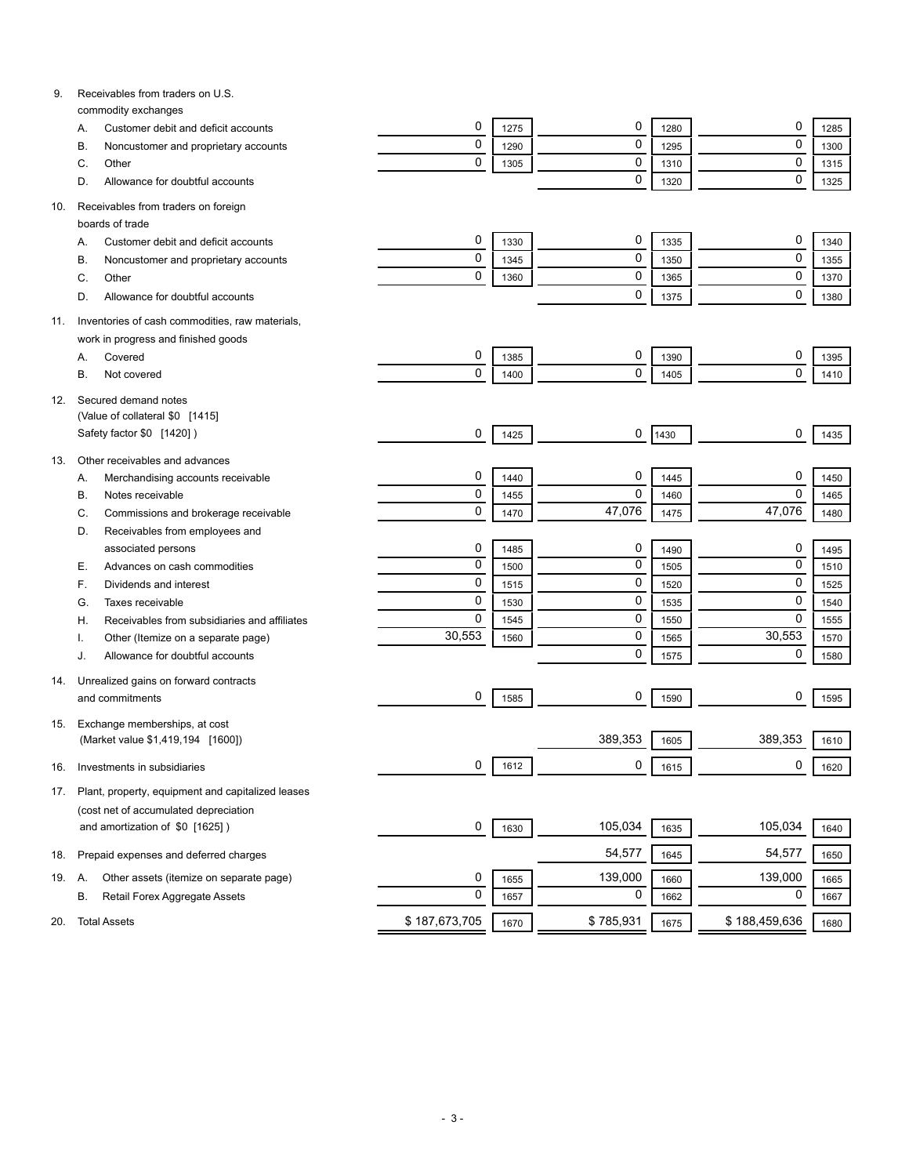| 9.  | Receivables from traders on U.S.<br>commodity exchanges |                |      |           |      |               |      |
|-----|---------------------------------------------------------|----------------|------|-----------|------|---------------|------|
|     | Customer debit and deficit accounts<br>А.               | 0              | 1275 | 0         | 1280 | 0             | 1285 |
|     | В.                                                      | 0              | 1290 | 0         | 1295 | 0             | 1300 |
|     | Noncustomer and proprietary accounts<br>C.<br>Other     | 0              |      | 0         |      | 0             |      |
|     | Allowance for doubtful accounts<br>D.                   |                | 1305 | 0         | 1310 | $\mathbf 0$   | 1315 |
|     |                                                         |                |      |           | 1320 |               | 1325 |
| 10. | Receivables from traders on foreign<br>boards of trade  |                |      |           |      |               |      |
|     | Customer debit and deficit accounts                     | 0              | 1330 | 0         | 1335 | 0             | 1340 |
|     | А.                                                      | 0              | 1345 | 0         | 1350 | 0             | 1355 |
|     | В.<br>Noncustomer and proprietary accounts<br>C.        | 0              | 1360 | 0         |      | $\pmb{0}$     |      |
|     | Other                                                   |                |      | 0         | 1365 | 0             | 1370 |
|     | Allowance for doubtful accounts<br>D.                   |                |      |           | 1375 |               | 1380 |
| 11. | Inventories of cash commodities, raw materials,         |                |      |           |      |               |      |
|     | work in progress and finished goods                     |                |      |           |      |               |      |
|     | Covered<br>А.                                           | 0              | 1385 | 0         | 1390 | 0             | 1395 |
|     | В.<br>Not covered                                       | 0              | 1400 | 0         | 1405 | $\mathbf 0$   | 1410 |
| 12. | Secured demand notes                                    |                |      |           |      |               |      |
|     | (Value of collateral \$0 [1415]                         |                |      |           |      |               |      |
|     | Safety factor \$0 [1420])                               | 0              | 1425 | 0         | 1430 | 0             | 1435 |
| 13. | Other receivables and advances                          |                |      |           |      |               |      |
|     | Α.<br>Merchandising accounts receivable                 | 0              | 1440 | 0         | 1445 | 0             | 1450 |
|     | В.<br>Notes receivable                                  | 0              | 1455 | 0         | 1460 | 0             | 1465 |
|     | Commissions and brokerage receivable<br>C.              | 0              | 1470 | 47,076    | 1475 | 47,076        | 1480 |
|     | D.<br>Receivables from employees and                    |                |      |           |      |               |      |
|     | associated persons                                      | 0              | 1485 | 0         | 1490 | 0             | 1495 |
|     | Е.<br>Advances on cash commodities                      | $\overline{0}$ | 1500 | 0         | 1505 | 0             | 1510 |
|     | F.<br>Dividends and interest                            | 0              | 1515 | 0         | 1520 | 0             | 1525 |
|     | G.<br>Taxes receivable                                  | 0              | 1530 | 0         | 1535 | 0             | 1540 |
|     | Receivables from subsidiaries and affiliates<br>Η.      | 0              | 1545 | 0         | 1550 | 0             | 1555 |
|     | Other (Itemize on a separate page)                      | 30,553         | 1560 | 0         | 1565 | 30,553        | 1570 |
|     | Allowance for doubtful accounts<br>J.                   |                |      | 0         | 1575 | 0             | 1580 |
| 14. | Unrealized gains on forward contracts                   |                |      |           |      |               |      |
|     | and commitments                                         | 0              | 1585 | 0         | 1590 | 0             | 1595 |
| 15. | Exchange memberships, at cost                           |                |      |           |      |               |      |
|     | (Market value \$1,419,194 [1600])                       |                |      | 389,353   | 1605 | 389,353       | 1610 |
| 16. | Investments in subsidiaries                             | 0              | 1612 | 0         | 1615 | 0             | 1620 |
| 17. | Plant, property, equipment and capitalized leases       |                |      |           |      |               |      |
|     | (cost net of accumulated depreciation                   |                |      |           |      |               |      |
|     | and amortization of \$0 [1625])                         | 0              | 1630 | 105,034   | 1635 | 105,034       | 1640 |
| 18. | Prepaid expenses and deferred charges                   |                |      | 54,577    | 1645 | 54,577        | 1650 |
| 19. | Other assets (itemize on separate page)<br>А.           | 0              | 1655 | 139,000   | 1660 | 139,000       | 1665 |
|     | В.<br>Retail Forex Aggregate Assets                     | 0              | 1657 | 0         | 1662 | 0             | 1667 |
| 20. | <b>Total Assets</b>                                     | \$187,673,705  | 1670 | \$785,931 | 1675 | \$188,459,636 | 1680 |
|     |                                                         |                |      |           |      |               |      |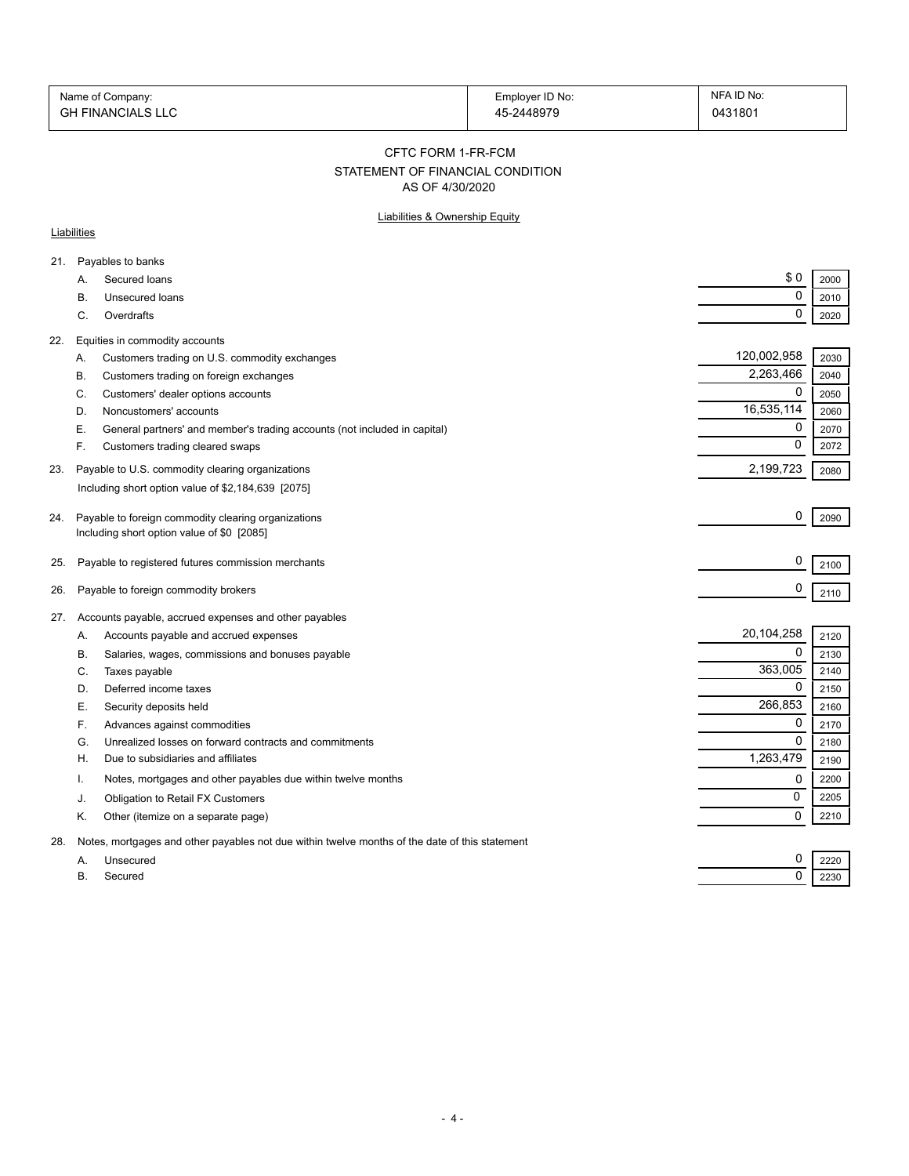| Name of Company:         | Employer ID No: | NFA ID No: |
|--------------------------|-----------------|------------|
| <b>GH FINANCIALS LLC</b> | 45-2448979      | 0431801    |

CFTC FORM 1-FR-FCM

# STATEMENT OF FINANCIAL CONDITION

AS OF 4/30/2020

## Liabilities & Ownership Equity

#### **Liabilities**

| \$0<br>Secured loans<br>2000<br>А.<br>$\mathbf 0$<br>Unsecured loans<br>2010<br>В.<br>$\Omega$<br>C.<br>Overdrafts<br>2020<br>Equities in commodity accounts<br>22.<br>120,002,958<br>2030<br>Customers trading on U.S. commodity exchanges<br>А.<br>2,263,466<br>2040<br>Customers trading on foreign exchanges<br>В.<br>0<br>C.<br>Customers' dealer options accounts<br>2050<br>16,535,114<br>2060<br>Noncustomers' accounts<br>D.<br>0<br>2070<br>General partners' and member's trading accounts (not included in capital)<br>Е.<br>$\Omega$<br>F.<br>2072<br>Customers trading cleared swaps<br>2,199,723<br>Payable to U.S. commodity clearing organizations<br>23.<br>2080<br>Including short option value of \$2,184,639 [2075]<br>0<br>Payable to foreign commodity clearing organizations<br>2090<br>Including short option value of \$0 [2085]<br>0<br>Payable to registered futures commission merchants<br>25.<br>2100<br>0<br>Payable to foreign commodity brokers<br>26.<br>2110<br>Accounts payable, accrued expenses and other payables<br>20,104,258<br>Accounts payable and accrued expenses<br>2120<br>Α.<br>$\Omega$<br>Salaries, wages, commissions and bonuses payable<br>В.<br>2130<br>363,005<br>Taxes payable<br>2140<br>C.<br>0<br>Deferred income taxes<br>2150<br>D.<br>266,853<br>Security deposits held<br>Е.<br>2160<br>0<br>F.<br>Advances against commodities<br>2170<br>$\mathbf 0$<br>Unrealized losses on forward contracts and commitments<br>2180<br>G.<br>1,263,479<br>Due to subsidiaries and affiliates<br>Η.<br>2190<br>Notes, mortgages and other payables due within twelve months<br>0<br>2200<br>0<br>2205<br>Obligation to Retail FX Customers<br>J.<br>$\Omega$<br>2210<br>Κ.<br>Other (itemize on a separate page)<br>Notes, mortgages and other payables not due within twelve months of the date of this statement<br>28.<br>0<br>Unsecured<br>2220<br>A.<br>$\mathbf 0$<br>Secured<br>В.<br>2230 | 21. | Payables to banks |  |
|--------------------------------------------------------------------------------------------------------------------------------------------------------------------------------------------------------------------------------------------------------------------------------------------------------------------------------------------------------------------------------------------------------------------------------------------------------------------------------------------------------------------------------------------------------------------------------------------------------------------------------------------------------------------------------------------------------------------------------------------------------------------------------------------------------------------------------------------------------------------------------------------------------------------------------------------------------------------------------------------------------------------------------------------------------------------------------------------------------------------------------------------------------------------------------------------------------------------------------------------------------------------------------------------------------------------------------------------------------------------------------------------------------------------------------------------------------------------------------------------------------------------------------------------------------------------------------------------------------------------------------------------------------------------------------------------------------------------------------------------------------------------------------------------------------------------------------------------------------------------------------------------------------------------------------------------------------|-----|-------------------|--|
|                                                                                                                                                                                                                                                                                                                                                                                                                                                                                                                                                                                                                                                                                                                                                                                                                                                                                                                                                                                                                                                                                                                                                                                                                                                                                                                                                                                                                                                                                                                                                                                                                                                                                                                                                                                                                                                                                                                                                        |     |                   |  |
|                                                                                                                                                                                                                                                                                                                                                                                                                                                                                                                                                                                                                                                                                                                                                                                                                                                                                                                                                                                                                                                                                                                                                                                                                                                                                                                                                                                                                                                                                                                                                                                                                                                                                                                                                                                                                                                                                                                                                        |     |                   |  |
|                                                                                                                                                                                                                                                                                                                                                                                                                                                                                                                                                                                                                                                                                                                                                                                                                                                                                                                                                                                                                                                                                                                                                                                                                                                                                                                                                                                                                                                                                                                                                                                                                                                                                                                                                                                                                                                                                                                                                        |     |                   |  |
|                                                                                                                                                                                                                                                                                                                                                                                                                                                                                                                                                                                                                                                                                                                                                                                                                                                                                                                                                                                                                                                                                                                                                                                                                                                                                                                                                                                                                                                                                                                                                                                                                                                                                                                                                                                                                                                                                                                                                        |     |                   |  |
|                                                                                                                                                                                                                                                                                                                                                                                                                                                                                                                                                                                                                                                                                                                                                                                                                                                                                                                                                                                                                                                                                                                                                                                                                                                                                                                                                                                                                                                                                                                                                                                                                                                                                                                                                                                                                                                                                                                                                        |     |                   |  |
|                                                                                                                                                                                                                                                                                                                                                                                                                                                                                                                                                                                                                                                                                                                                                                                                                                                                                                                                                                                                                                                                                                                                                                                                                                                                                                                                                                                                                                                                                                                                                                                                                                                                                                                                                                                                                                                                                                                                                        |     |                   |  |
|                                                                                                                                                                                                                                                                                                                                                                                                                                                                                                                                                                                                                                                                                                                                                                                                                                                                                                                                                                                                                                                                                                                                                                                                                                                                                                                                                                                                                                                                                                                                                                                                                                                                                                                                                                                                                                                                                                                                                        |     |                   |  |
|                                                                                                                                                                                                                                                                                                                                                                                                                                                                                                                                                                                                                                                                                                                                                                                                                                                                                                                                                                                                                                                                                                                                                                                                                                                                                                                                                                                                                                                                                                                                                                                                                                                                                                                                                                                                                                                                                                                                                        |     |                   |  |
|                                                                                                                                                                                                                                                                                                                                                                                                                                                                                                                                                                                                                                                                                                                                                                                                                                                                                                                                                                                                                                                                                                                                                                                                                                                                                                                                                                                                                                                                                                                                                                                                                                                                                                                                                                                                                                                                                                                                                        |     |                   |  |
|                                                                                                                                                                                                                                                                                                                                                                                                                                                                                                                                                                                                                                                                                                                                                                                                                                                                                                                                                                                                                                                                                                                                                                                                                                                                                                                                                                                                                                                                                                                                                                                                                                                                                                                                                                                                                                                                                                                                                        |     |                   |  |
|                                                                                                                                                                                                                                                                                                                                                                                                                                                                                                                                                                                                                                                                                                                                                                                                                                                                                                                                                                                                                                                                                                                                                                                                                                                                                                                                                                                                                                                                                                                                                                                                                                                                                                                                                                                                                                                                                                                                                        |     |                   |  |
|                                                                                                                                                                                                                                                                                                                                                                                                                                                                                                                                                                                                                                                                                                                                                                                                                                                                                                                                                                                                                                                                                                                                                                                                                                                                                                                                                                                                                                                                                                                                                                                                                                                                                                                                                                                                                                                                                                                                                        |     |                   |  |
|                                                                                                                                                                                                                                                                                                                                                                                                                                                                                                                                                                                                                                                                                                                                                                                                                                                                                                                                                                                                                                                                                                                                                                                                                                                                                                                                                                                                                                                                                                                                                                                                                                                                                                                                                                                                                                                                                                                                                        |     |                   |  |
|                                                                                                                                                                                                                                                                                                                                                                                                                                                                                                                                                                                                                                                                                                                                                                                                                                                                                                                                                                                                                                                                                                                                                                                                                                                                                                                                                                                                                                                                                                                                                                                                                                                                                                                                                                                                                                                                                                                                                        | 24. |                   |  |
|                                                                                                                                                                                                                                                                                                                                                                                                                                                                                                                                                                                                                                                                                                                                                                                                                                                                                                                                                                                                                                                                                                                                                                                                                                                                                                                                                                                                                                                                                                                                                                                                                                                                                                                                                                                                                                                                                                                                                        |     |                   |  |
|                                                                                                                                                                                                                                                                                                                                                                                                                                                                                                                                                                                                                                                                                                                                                                                                                                                                                                                                                                                                                                                                                                                                                                                                                                                                                                                                                                                                                                                                                                                                                                                                                                                                                                                                                                                                                                                                                                                                                        |     |                   |  |
|                                                                                                                                                                                                                                                                                                                                                                                                                                                                                                                                                                                                                                                                                                                                                                                                                                                                                                                                                                                                                                                                                                                                                                                                                                                                                                                                                                                                                                                                                                                                                                                                                                                                                                                                                                                                                                                                                                                                                        |     |                   |  |
|                                                                                                                                                                                                                                                                                                                                                                                                                                                                                                                                                                                                                                                                                                                                                                                                                                                                                                                                                                                                                                                                                                                                                                                                                                                                                                                                                                                                                                                                                                                                                                                                                                                                                                                                                                                                                                                                                                                                                        |     |                   |  |
|                                                                                                                                                                                                                                                                                                                                                                                                                                                                                                                                                                                                                                                                                                                                                                                                                                                                                                                                                                                                                                                                                                                                                                                                                                                                                                                                                                                                                                                                                                                                                                                                                                                                                                                                                                                                                                                                                                                                                        | 27. |                   |  |
|                                                                                                                                                                                                                                                                                                                                                                                                                                                                                                                                                                                                                                                                                                                                                                                                                                                                                                                                                                                                                                                                                                                                                                                                                                                                                                                                                                                                                                                                                                                                                                                                                                                                                                                                                                                                                                                                                                                                                        |     |                   |  |
|                                                                                                                                                                                                                                                                                                                                                                                                                                                                                                                                                                                                                                                                                                                                                                                                                                                                                                                                                                                                                                                                                                                                                                                                                                                                                                                                                                                                                                                                                                                                                                                                                                                                                                                                                                                                                                                                                                                                                        |     |                   |  |
|                                                                                                                                                                                                                                                                                                                                                                                                                                                                                                                                                                                                                                                                                                                                                                                                                                                                                                                                                                                                                                                                                                                                                                                                                                                                                                                                                                                                                                                                                                                                                                                                                                                                                                                                                                                                                                                                                                                                                        |     |                   |  |
|                                                                                                                                                                                                                                                                                                                                                                                                                                                                                                                                                                                                                                                                                                                                                                                                                                                                                                                                                                                                                                                                                                                                                                                                                                                                                                                                                                                                                                                                                                                                                                                                                                                                                                                                                                                                                                                                                                                                                        |     |                   |  |
|                                                                                                                                                                                                                                                                                                                                                                                                                                                                                                                                                                                                                                                                                                                                                                                                                                                                                                                                                                                                                                                                                                                                                                                                                                                                                                                                                                                                                                                                                                                                                                                                                                                                                                                                                                                                                                                                                                                                                        |     |                   |  |
|                                                                                                                                                                                                                                                                                                                                                                                                                                                                                                                                                                                                                                                                                                                                                                                                                                                                                                                                                                                                                                                                                                                                                                                                                                                                                                                                                                                                                                                                                                                                                                                                                                                                                                                                                                                                                                                                                                                                                        |     |                   |  |
|                                                                                                                                                                                                                                                                                                                                                                                                                                                                                                                                                                                                                                                                                                                                                                                                                                                                                                                                                                                                                                                                                                                                                                                                                                                                                                                                                                                                                                                                                                                                                                                                                                                                                                                                                                                                                                                                                                                                                        |     |                   |  |
|                                                                                                                                                                                                                                                                                                                                                                                                                                                                                                                                                                                                                                                                                                                                                                                                                                                                                                                                                                                                                                                                                                                                                                                                                                                                                                                                                                                                                                                                                                                                                                                                                                                                                                                                                                                                                                                                                                                                                        |     |                   |  |
|                                                                                                                                                                                                                                                                                                                                                                                                                                                                                                                                                                                                                                                                                                                                                                                                                                                                                                                                                                                                                                                                                                                                                                                                                                                                                                                                                                                                                                                                                                                                                                                                                                                                                                                                                                                                                                                                                                                                                        |     |                   |  |
|                                                                                                                                                                                                                                                                                                                                                                                                                                                                                                                                                                                                                                                                                                                                                                                                                                                                                                                                                                                                                                                                                                                                                                                                                                                                                                                                                                                                                                                                                                                                                                                                                                                                                                                                                                                                                                                                                                                                                        |     |                   |  |
|                                                                                                                                                                                                                                                                                                                                                                                                                                                                                                                                                                                                                                                                                                                                                                                                                                                                                                                                                                                                                                                                                                                                                                                                                                                                                                                                                                                                                                                                                                                                                                                                                                                                                                                                                                                                                                                                                                                                                        |     |                   |  |
|                                                                                                                                                                                                                                                                                                                                                                                                                                                                                                                                                                                                                                                                                                                                                                                                                                                                                                                                                                                                                                                                                                                                                                                                                                                                                                                                                                                                                                                                                                                                                                                                                                                                                                                                                                                                                                                                                                                                                        |     |                   |  |
|                                                                                                                                                                                                                                                                                                                                                                                                                                                                                                                                                                                                                                                                                                                                                                                                                                                                                                                                                                                                                                                                                                                                                                                                                                                                                                                                                                                                                                                                                                                                                                                                                                                                                                                                                                                                                                                                                                                                                        |     |                   |  |
|                                                                                                                                                                                                                                                                                                                                                                                                                                                                                                                                                                                                                                                                                                                                                                                                                                                                                                                                                                                                                                                                                                                                                                                                                                                                                                                                                                                                                                                                                                                                                                                                                                                                                                                                                                                                                                                                                                                                                        |     |                   |  |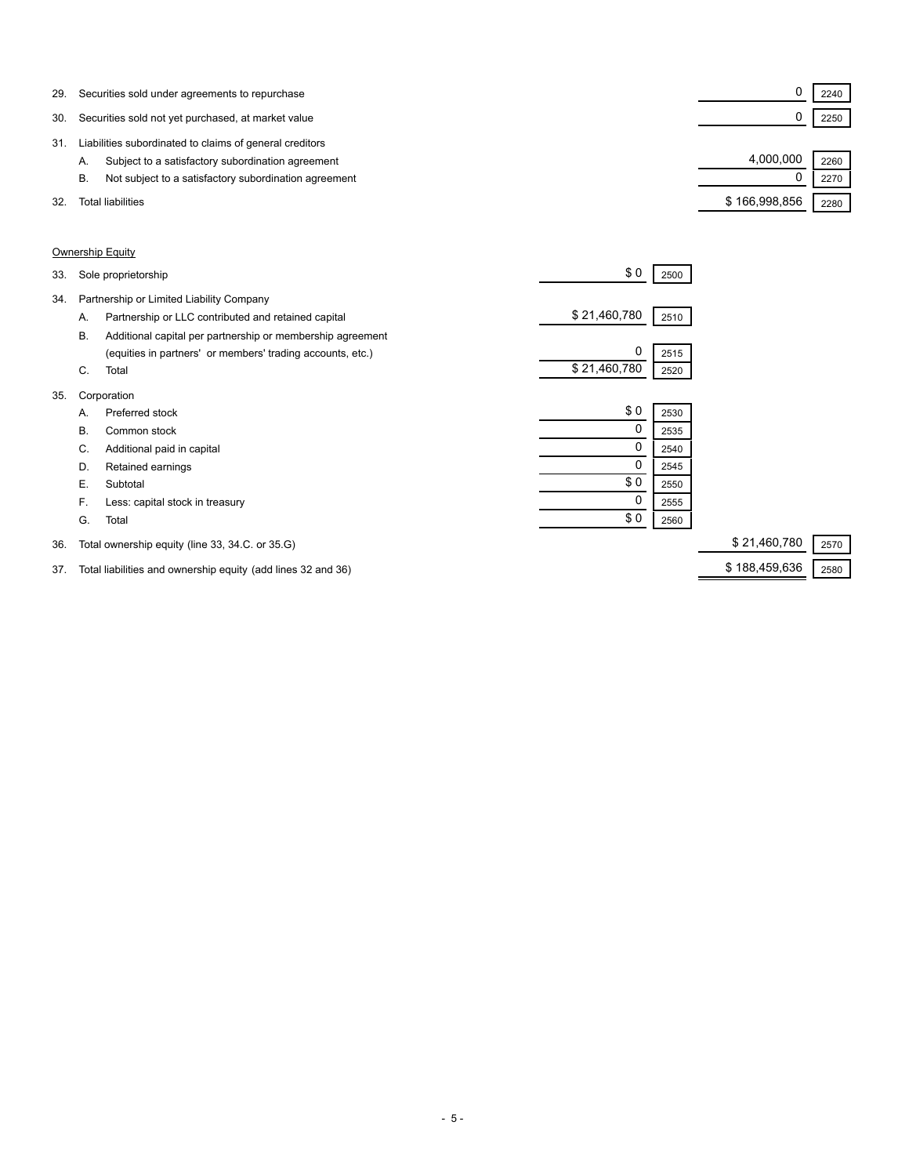| 29. | Securities sold under agreements to repurchase              |               | 2240 |
|-----|-------------------------------------------------------------|---------------|------|
| 30. | Securities sold not yet purchased, at market value          |               | 2250 |
| 31. | Liabilities subordinated to claims of general creditors     |               |      |
|     | Subject to a satisfactory subordination agreement<br>А.     | 4.000.000     | 2260 |
|     | Not subject to a satisfactory subordination agreement<br>В. |               | 2270 |
| 32. | <b>Total liabilities</b>                                    | \$166,998,856 | 2280 |

## Ownership Equity

| 33. |    | Sole proprietorship                                        | \$0          | 2500 |              |      |
|-----|----|------------------------------------------------------------|--------------|------|--------------|------|
| 34. |    | Partnership or Limited Liability Company                   |              |      |              |      |
|     | А. | Partnership or LLC contributed and retained capital        | \$21,460,780 | 2510 |              |      |
|     | В. | Additional capital per partnership or membership agreement |              |      |              |      |
|     |    | (equities in partners' or members' trading accounts, etc.) | 0            | 2515 |              |      |
|     | C. | Total                                                      | \$21,460,780 | 2520 |              |      |
| 35. |    | Corporation                                                |              |      |              |      |
|     | А. | Preferred stock                                            | \$0          | 2530 |              |      |
|     | В. | Common stock                                               | 0            | 2535 |              |      |
|     | C. | Additional paid in capital                                 | 0            | 2540 |              |      |
|     | D. | Retained earnings                                          | 0            | 2545 |              |      |
|     | Е. | Subtotal                                                   | \$0          | 2550 |              |      |
|     | F. | Less: capital stock in treasury                            | 0            | 2555 |              |      |
|     | G. | Total                                                      | \$0          | 2560 |              |      |
| 36. |    | Total ownership equity (line 33, 34.C. or 35.G)            |              |      | \$21,460,780 | 2570 |

37. Total liabilities and ownership equity (add lines 32 and 36) \$ 188,459,636 2580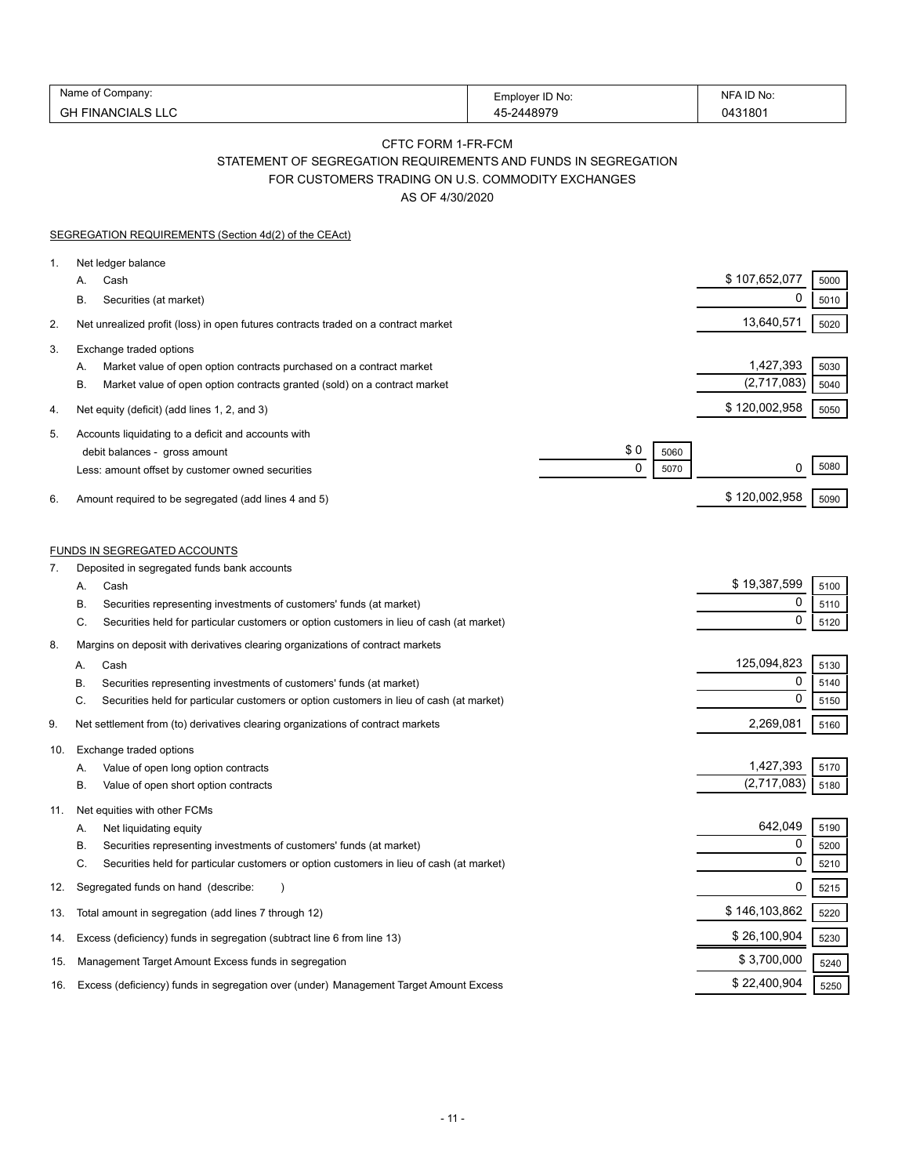| Name of C              |                 | NFA ID No: |
|------------------------|-----------------|------------|
| . Company <sup>.</sup> | Employer ID No: |            |
| GН                     | -2448070        | 31801      |
| FINANCIALS L           | ୵.              | 1147ء      |

# CFTC FORM 1-FR-FCM

STATEMENT OF SEGREGATION REQUIREMENTS AND FUNDS IN SEGREGATION

FOR CUSTOMERS TRADING ON U.S. COMMODITY EXCHANGES

AS OF 4/30/2020

|     | SEGREGATION REQUIREMENTS (Section 4d(2) of the CEAct)                                          |               |      |
|-----|------------------------------------------------------------------------------------------------|---------------|------|
| 1.  | Net ledger balance                                                                             |               |      |
|     | Cash<br>А.                                                                                     | \$107,652,077 | 5000 |
|     | Β.<br>Securities (at market)                                                                   | 0             | 5010 |
| 2.  | Net unrealized profit (loss) in open futures contracts traded on a contract market             | 13,640,571    | 5020 |
| 3.  | Exchange traded options                                                                        |               |      |
|     | А.<br>Market value of open option contracts purchased on a contract market                     | 1,427,393     | 5030 |
|     | В.<br>Market value of open option contracts granted (sold) on a contract market                | (2,717,083)   | 5040 |
| 4.  | Net equity (deficit) (add lines 1, 2, and 3)                                                   | \$120,002,958 | 5050 |
| 5.  | Accounts liquidating to a deficit and accounts with                                            |               |      |
|     | \$0<br>debit balances - gross amount<br>5060                                                   |               |      |
|     | 0<br>5070<br>Less: amount offset by customer owned securities                                  | 0             | 5080 |
| 6.  | Amount required to be segregated (add lines 4 and 5)                                           | \$120,002,958 | 5090 |
|     |                                                                                                |               |      |
|     | <b>FUNDS IN SEGREGATED ACCOUNTS</b>                                                            |               |      |
| 7.  | Deposited in segregated funds bank accounts                                                    |               |      |
|     | А.<br>Cash                                                                                     | \$19,387,599  | 5100 |
|     | В.<br>Securities representing investments of customers' funds (at market)                      | 0             | 5110 |
|     | С.<br>Securities held for particular customers or option customers in lieu of cash (at market) | 0             | 5120 |
| 8.  | Margins on deposit with derivatives clearing organizations of contract markets                 |               |      |
|     | Cash<br>А.                                                                                     | 125,094,823   | 5130 |
|     | В.<br>Securities representing investments of customers' funds (at market)                      | 0             | 5140 |
|     | C.<br>Securities held for particular customers or option customers in lieu of cash (at market) | 0             | 5150 |
| 9.  | Net settlement from (to) derivatives clearing organizations of contract markets                | 2,269,081     | 5160 |
| 10. | Exchange traded options                                                                        |               |      |
|     | Value of open long option contracts<br>А.                                                      | 1,427,393     | 5170 |
|     | В.<br>Value of open short option contracts                                                     | (2,717,083)   | 5180 |
| 11. | Net equities with other FCMs                                                                   |               |      |
|     | А.<br>Net liquidating equity                                                                   | 642,049       | 5190 |
|     | Securities representing investments of customers' funds (at market)<br>В.                      | 0             | 5200 |
|     | С.<br>Securities held for particular customers or option customers in lieu of cash (at market) | 0             | 5210 |
| 12. | Segregated funds on hand (describe:                                                            | 0             | 5215 |
| 13. | Total amount in segregation (add lines 7 through 12)                                           | \$146,103,862 | 5220 |
| 14. | Excess (deficiency) funds in segregation (subtract line 6 from line 13)                        | \$26,100,904  | 5230 |
| 15. | Management Target Amount Excess funds in segregation                                           | \$3,700,000   | 5240 |
| 16. | Excess (deficiency) funds in segregation over (under) Management Target Amount Excess          | \$22,400,904  | 5250 |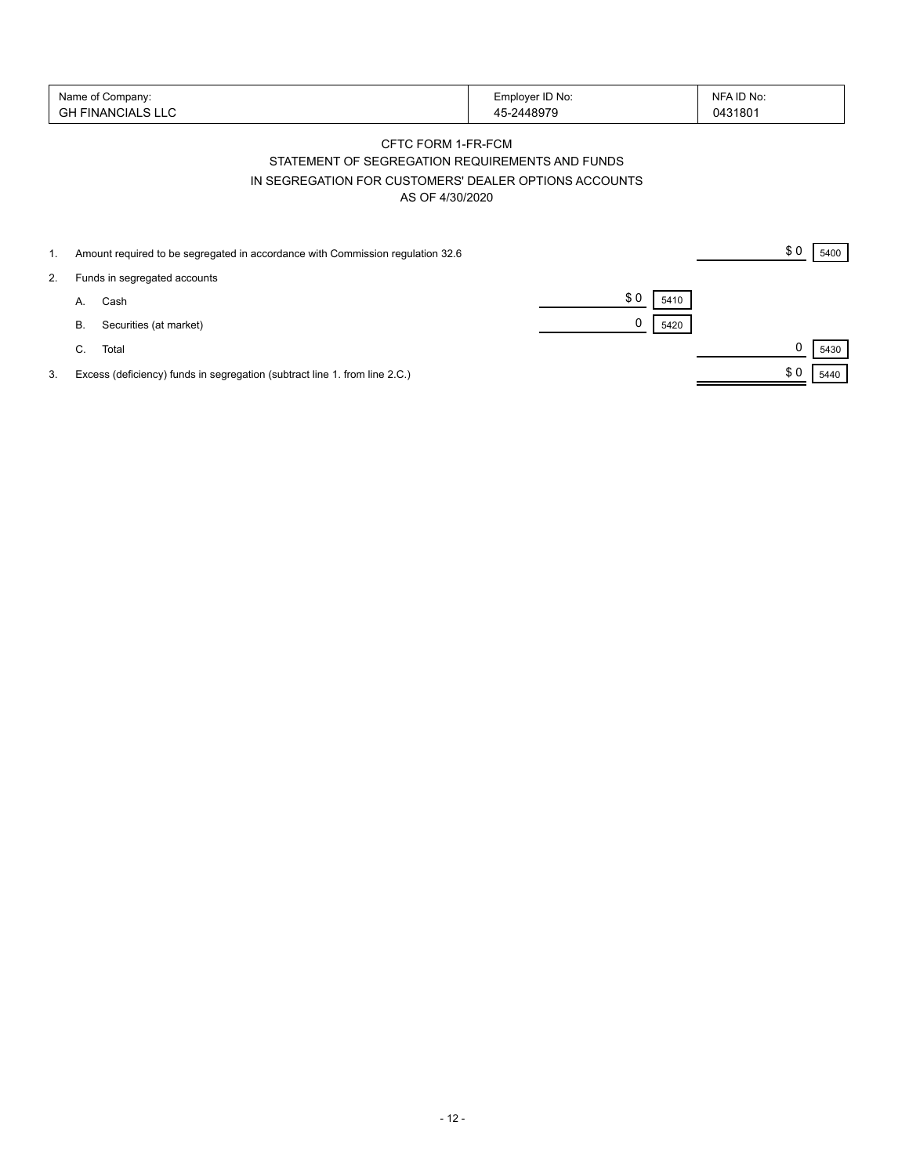| Name of Company:        | Employer ID No: | NFA ID No: |
|-------------------------|-----------------|------------|
| '' FINANCIALS LLU<br>cц | 5-2448979<br>46 | 0431801    |

# CFTC FORM 1-FR-FCM STATEMENT OF SEGREGATION REQUIREMENTS AND FUNDS IN SEGREGATION FOR CUSTOMERS' DEALER OPTIONS ACCOUNTS AS OF 4/30/2020

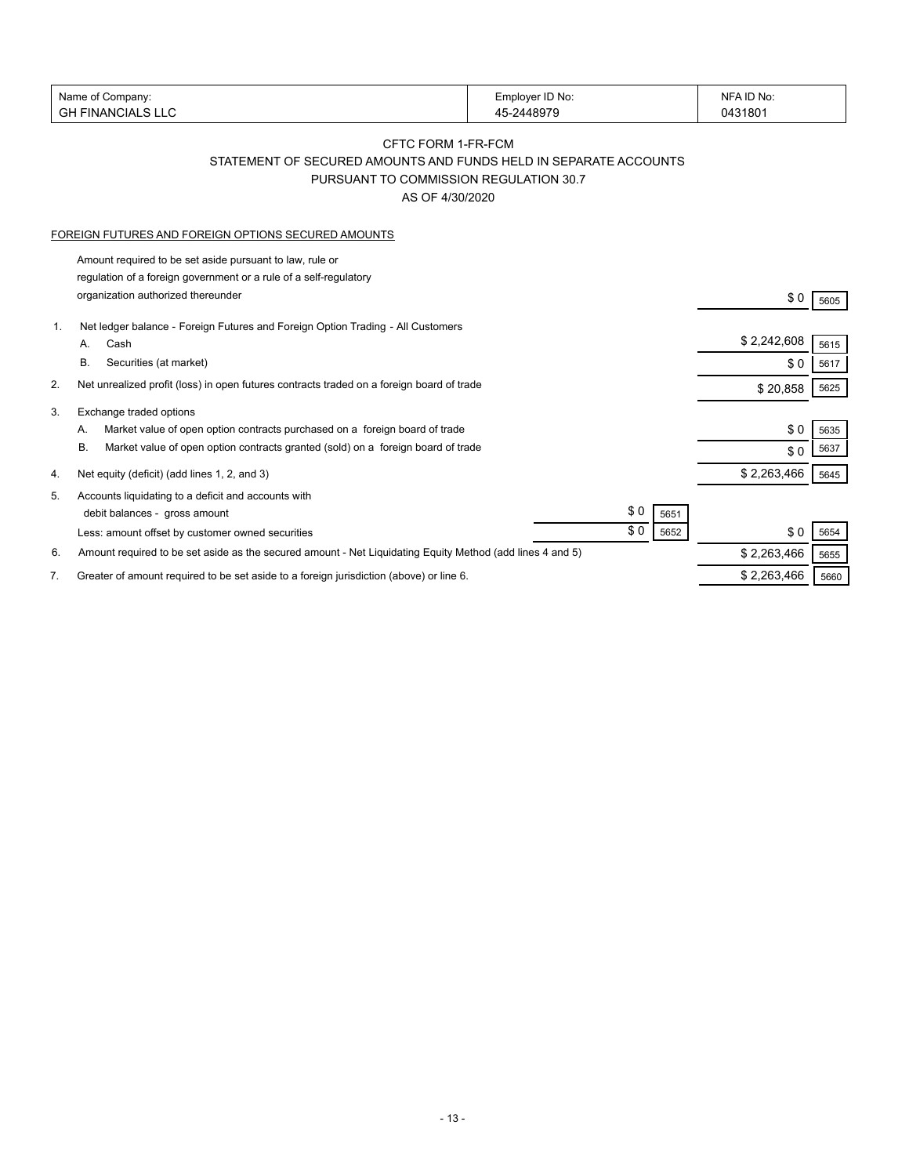| Name of Company:         | Employer ID No:     | NFA ID No: |
|--------------------------|---------------------|------------|
| <b>GH FINANCIALS LLC</b> | $-2448979$<br>$4 -$ | 0431801    |
|                          |                     |            |

# CFTC FORM 1-FR-FCM STATEMENT OF SECURED AMOUNTS AND FUNDS HELD IN SEPARATE ACCOUNTS

PURSUANT TO COMMISSION REGULATION 30.7

AS OF 4/30/2020

#### FOREIGN FUTURES AND FOREIGN OPTIONS SECURED AMOUNTS

Amount required to be set aside pursuant to law, rule or regulation of a foreign government or a rule of a self-regulatory organization authorized thereunder  $$0$  5605

| 1. | Net ledger balance - Foreign Futures and Foreign Option Trading - All Customers                           |             |      |
|----|-----------------------------------------------------------------------------------------------------------|-------------|------|
|    | Cash<br>А.                                                                                                | \$2,242,608 | 5615 |
|    | В.<br>Securities (at market)                                                                              | \$0         | 5617 |
| 2. | Net unrealized profit (loss) in open futures contracts traded on a foreign board of trade                 | \$20,858    | 5625 |
| 3. | Exchange traded options                                                                                   |             |      |
|    | Market value of open option contracts purchased on a foreign board of trade<br>А.                         | \$0         | 5635 |
|    | В.<br>Market value of open option contracts granted (sold) on a foreign board of trade                    | \$0         | 5637 |
| 4. | Net equity (deficit) (add lines 1, 2, and 3)                                                              | \$2,263,466 | 5645 |
| 5. | Accounts liquidating to a deficit and accounts with                                                       |             |      |
|    | \$0<br>debit balances - gross amount<br>5651                                                              |             |      |
|    | \$0<br>5652<br>Less: amount offset by customer owned securities                                           | \$0         | 5654 |
| 6. | Amount required to be set aside as the secured amount - Net Liquidating Equity Method (add lines 4 and 5) | \$2,263,466 | 5655 |
| 7. | Greater of amount required to be set aside to a foreign jurisdiction (above) or line 6.                   | \$2,263,466 | 5660 |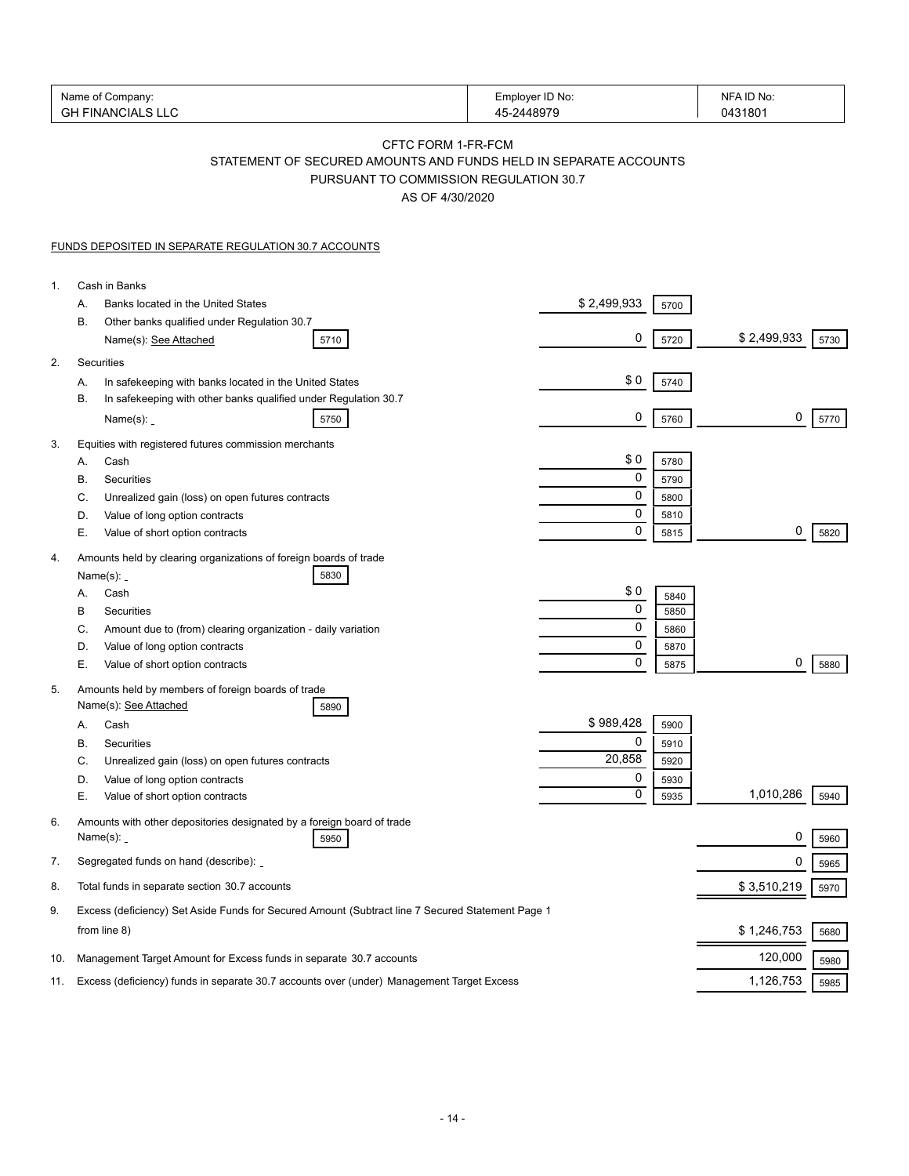| Name of Company:<br><b>GH FINANCIALS LLC</b> |                                                                                                                                                     | Employer ID No:<br>45-2448979 | NFA ID No:<br>0431801 |      |
|----------------------------------------------|-----------------------------------------------------------------------------------------------------------------------------------------------------|-------------------------------|-----------------------|------|
|                                              | CFTC FORM 1-FR-FCM<br>STATEMENT OF SECURED AMOUNTS AND FUNDS HELD IN SEPARATE ACCOUNTS<br>PURSUANT TO COMMISSION REGULATION 30.7<br>AS OF 4/30/2020 |                               |                       |      |
|                                              | <b>FUNDS DEPOSITED IN SEPARATE REGULATION 30.7 ACCOUNTS</b>                                                                                         |                               |                       |      |
| 1.                                           | Cash in Banks                                                                                                                                       |                               |                       |      |
|                                              | Banks located in the United States<br>А.                                                                                                            | \$2,499,933<br>5700           |                       |      |
|                                              | В.<br>Other banks qualified under Regulation 30.7                                                                                                   |                               |                       |      |
|                                              | Name(s): See Attached<br>5710                                                                                                                       | 0<br>5720                     | \$2,499,933           | 5730 |
| 2.                                           | Securities                                                                                                                                          |                               |                       |      |
|                                              | In safekeeping with banks located in the United States<br>А.<br>В.                                                                                  | \$0<br>5740                   |                       |      |
|                                              | In safekeeping with other banks qualified under Regulation 30.7<br>Name(s): <b>_</b><br>5750                                                        | 0<br>5760                     | 0                     | 5770 |
|                                              |                                                                                                                                                     |                               |                       |      |
| 3.                                           | Equities with registered futures commission merchants<br>Cash<br>А.                                                                                 | \$0<br>5780                   |                       |      |
|                                              | В.<br>Securities                                                                                                                                    | 0<br>5790                     |                       |      |
|                                              | C.<br>Unrealized gain (loss) on open futures contracts                                                                                              | 0<br>5800                     |                       |      |
|                                              | D.<br>Value of long option contracts                                                                                                                | 0<br>5810                     |                       |      |
|                                              | Е.<br>Value of short option contracts                                                                                                               | $\mathbf 0$<br>5815           | 0                     | 5820 |
| 4.                                           | Amounts held by clearing organizations of foreign boards of trade                                                                                   |                               |                       |      |
|                                              | Name $(s)$ : _<br>5830<br>Cash<br>А.                                                                                                                | \$0                           |                       |      |
|                                              | В<br>Securities                                                                                                                                     | 5840<br>0<br>5850             |                       |      |
|                                              | C.<br>Amount due to (from) clearing organization - daily variation                                                                                  | 0<br>5860                     |                       |      |
|                                              | D.<br>Value of long option contracts                                                                                                                | 0<br>5870                     |                       |      |
|                                              | Е.<br>Value of short option contracts                                                                                                               | $\mathbf 0$<br>5875           | 0                     | 5880 |
| 5.                                           | Amounts held by members of foreign boards of trade<br>Name(s): See Attached<br>5890                                                                 |                               |                       |      |
|                                              | Cash<br>A.                                                                                                                                          | \$989,428<br>5900             |                       |      |
|                                              | B<br>Securities                                                                                                                                     | $\Omega$<br>5910              |                       |      |
|                                              | С.<br>Unrealized gain (loss) on open futures contracts                                                                                              | 20,858<br>5920                |                       |      |
|                                              | Value of long option contracts<br>D.                                                                                                                | 0<br>5930                     |                       |      |
|                                              | Е.<br>Value of short option contracts                                                                                                               | 0<br>5935                     | 1,010,286             | 5940 |
| 6.                                           | Amounts with other depositories designated by a foreign board of trade<br>Name(s): <b>_</b><br>5950                                                 |                               | 0                     | 5960 |
| 7.                                           | Segregated funds on hand (describe):                                                                                                                |                               | 0                     | 5965 |
| 8.                                           | Total funds in separate section 30.7 accounts                                                                                                       |                               | \$3,510,219           | 5970 |
| 9.                                           | Excess (deficiency) Set Aside Funds for Secured Amount (Subtract line 7 Secured Statement Page 1                                                    |                               |                       |      |
|                                              | from line 8)                                                                                                                                        |                               | \$1,246,753           | 5680 |
| 10.                                          | Management Target Amount for Excess funds in separate 30.7 accounts                                                                                 |                               | 120,000               | 5980 |
| 11.                                          | Excess (deficiency) funds in separate 30.7 accounts over (under) Management Target Excess                                                           |                               | 1,126,753             | 5985 |